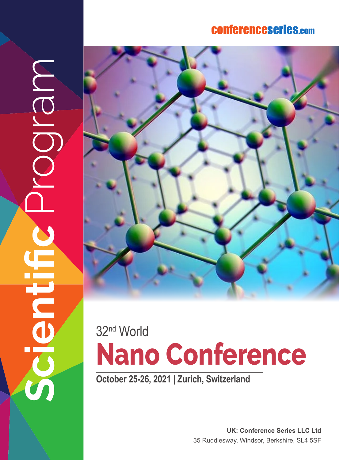### conferenceserie s.co m

**Scientific** Program MBIO Ě



# **Nano Conference** 32nd World

**October 25-26, 2021 | Zurich, Switzerland**

**UK: Conference Series LLC Ltd** 35 Ruddlesway, Windsor, Berkshire, SL4 5SF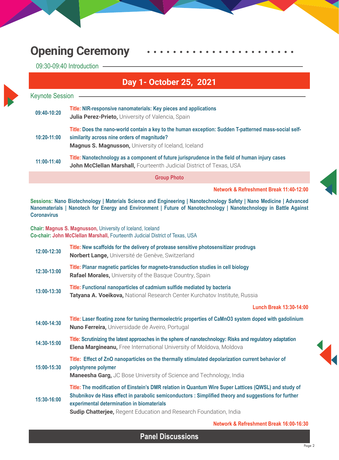## **Opening Ceremony**

09:30-09:40 Introduction

#### **Day 1- October 25, 2021**

| <b>Keynote Session</b> |                                                                                                                                                                                                                    |
|------------------------|--------------------------------------------------------------------------------------------------------------------------------------------------------------------------------------------------------------------|
| 09:40-10:20            | Title: NIR-responsive nanomaterials: Key pieces and applications<br><b>Julia Perez-Prieto, University of Valencia, Spain</b>                                                                                       |
| 10:20-11:00            | Title: Does the nano-world contain a key to the human exception: Sudden T-patterned mass-social self-<br>similarity across nine orders of magnitude?<br><b>Magnus S. Magnusson, University of Iceland, Iceland</b> |
| 11:00-11:40            | Title: Nanotechnology as a component of future jurisprudence in the field of human injury cases<br>John McClellan Marshall, Fourteenth Judicial District of Texas, USA                                             |
|                        | <b>Group Photo</b>                                                                                                                                                                                                 |

**Network & Refreshment Break 11:40-12:00** 

**Sessions: Nano Biotechnology | Materials Science and Engineering | Nanotechnology Safety | Nano Medicine | Advanced Nanomaterials | Nanotech for Energy and Environment | Future of Nanotechnology | Nanotechnology in Battle Against Coronavirus**

**Chair: Magnus S. Magnusson,** University of Iceland, Iceland **Co-chair: John McClellan Marshall,** Fourteenth Judicial District of Texas, USA

| 12:00-12:30 | Title: New scaffolds for the delivery of protease sensitive photosensitizer prodrugs<br>Norbert Lange, Université de Genève, Switzerland                                                                                                                                                                                                |
|-------------|-----------------------------------------------------------------------------------------------------------------------------------------------------------------------------------------------------------------------------------------------------------------------------------------------------------------------------------------|
| 12:30-13:00 | Title: Planar magnetic particles for magneto-transduction studies in cell biology<br><b>Rafael Morales, University of the Basque Country, Spain</b>                                                                                                                                                                                     |
| 13:00-13:30 | Title: Functional nanoparticles of cadmium sulfide mediated by bacteria<br>Tatyana A. Voeikova, National Research Center Kurchatov Institute, Russia                                                                                                                                                                                    |
|             | Lunch Break 13:30-14:00                                                                                                                                                                                                                                                                                                                 |
| 14:00-14:30 | Title: Laser floating zone for tuning thermoelectric properties of CaMnO3 system doped with gadolinium<br>Nuno Ferreira, Universidade de Aveiro, Portugal                                                                                                                                                                               |
| 14:30-15:00 | Title: Scrutinizing the latest approaches in the sphere of nanotechnology: Risks and regulatory adaptation<br><b>Elena Margineanu, Free International University of Moldova, Moldova</b>                                                                                                                                                |
| 15:00-15:30 | Title: Effect of ZnO nanoparticles on the thermally stimulated depolarization current behavior of<br>polystyrene polymer<br>Maneesha Garg, JC Bose University of Science and Technology, India                                                                                                                                          |
| 15:30-16:00 | Title: The modification of Einstein's DMR relation in Quantum Wire Super Lattices (QWSL) and study of<br>Shubnikov de Hass effect in parabolic semiconductors : Simplified theory and suggestions for further<br>experimental determination in biomaterials<br><b>Sudip Chatterjee, Regent Education and Research Foundation, India</b> |
|             | Network & Refreshment Break 16:00-16:30                                                                                                                                                                                                                                                                                                 |